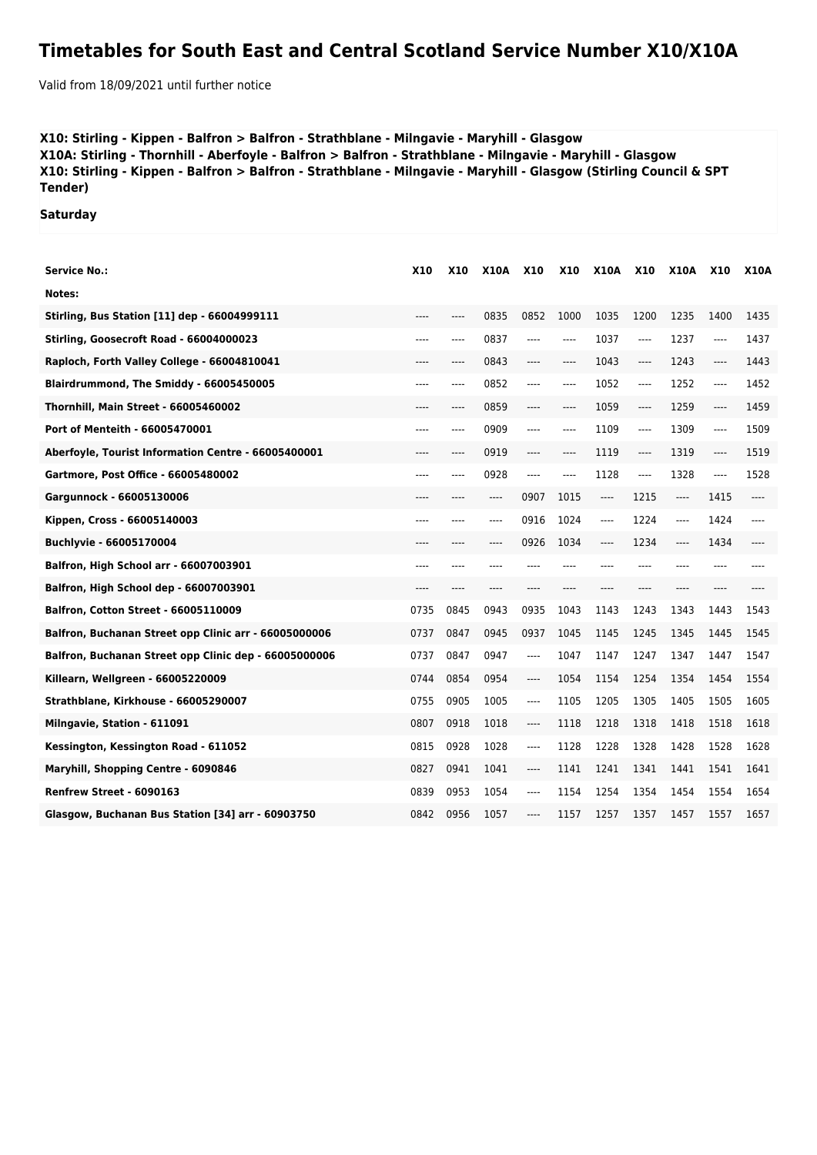## **Timetables for South East and Central Scotland Service Number X10/X10A**

Valid from 18/09/2021 until further notice

## **X10: Stirling - Kippen - Balfron > Balfron - Strathblane - Milngavie - Maryhill - Glasgow X10A: Stirling - Thornhill - Aberfoyle - Balfron > Balfron - Strathblane - Milngavie - Maryhill - Glasgow X10: Stirling - Kippen - Balfron > Balfron - Strathblane - Milngavie - Maryhill - Glasgow (Stirling Council & SPT Tender)**

**Saturday**

| <b>Service No.:</b>                                   | <b>X10</b> | <b>X10</b> | <b>X10A</b> | <b>X10</b> | <b>X10</b> | <b>X10A</b> | <b>X10</b> | <b>X10A</b> | <b>X10</b> | <b>X10A</b> |
|-------------------------------------------------------|------------|------------|-------------|------------|------------|-------------|------------|-------------|------------|-------------|
| Notes:                                                |            |            |             |            |            |             |            |             |            |             |
| <b>Stirling, Bus Station [11] dep - 66004999111</b>   | $---$      | $---$      | 0835        | 0852       | 1000       | 1035        | 1200       | 1235        | 1400       | 1435        |
| Stirling, Goosecroft Road - 66004000023               | $---$      | $---$      | 0837        | ----       | $---$      | 1037        | $---$      | 1237        | $---$      | 1437        |
| Raploch, Forth Valley College - 66004810041           | $---$      | $---$      | 0843        | ----       | ----       | 1043        | $---$      | 1243        | ----       | 1443        |
| Blairdrummond, The Smiddy - 66005450005               | $---$      | $---$      | 0852        | ----       | $---$      | 1052        | $---$      | 1252        | $---$      | 1452        |
| Thornhill, Main Street - 66005460002                  | $---$      | $---$      | 0859        | ----       | ----       | 1059        | $-----$    | 1259        | ----       | 1459        |
| Port of Menteith - 66005470001                        |            | ----       | 0909        | ----       | ----       | 1109        | $-----$    | 1309        | $---$      | 1509        |
| Aberfoyle, Tourist Information Centre - 66005400001   | ----       | ----       | 0919        | ----       | ----       | 1119        | $-----$    | 1319        | ----       | 1519        |
| Gartmore, Post Office - 66005480002                   |            | ----       | 0928        | ----       | ----       | 1128        | $-----$    | 1328        | $---$      | 1528        |
| Gargunnock - 66005130006                              | $---$      | ----       | ----        | 0907       | 1015       | ----        | 1215       | ----        | 1415       | ----        |
| Kippen, Cross - 66005140003                           | $---$      | $---$      | ----        | 0916       | 1024       | ----        | 1224       | ----        | 1424       | ----        |
| Buchlyvie - 66005170004                               | ----       | ----       | ----        | 0926       | 1034       | ----        | 1234       | ----        | 1434       | ----        |
| Balfron, High School arr - 66007003901                | ----       |            | ----        | ----       |            |             |            |             | ----       |             |
| Balfron, High School dep - 66007003901                | ----       | ----       | ----        | ----       | ----       | ----        | ----       | ----        | ----       |             |
| <b>Balfron, Cotton Street - 66005110009</b>           | 0735       | 0845       | 0943        | 0935       | 1043       | 1143        | 1243       | 1343        | 1443       | 1543        |
| Balfron, Buchanan Street opp Clinic arr - 66005000006 | 0737       | 0847       | 0945        | 0937       | 1045       | 1145        | 1245       | 1345        | 1445       | 1545        |
| Balfron, Buchanan Street opp Clinic dep - 66005000006 | 0737       | 0847       | 0947        | ----       | 1047       | 1147        | 1247       | 1347        | 1447       | 1547        |
| Killearn, Wellgreen - 66005220009                     | 0744       | 0854       | 0954        | ----       | 1054       | 1154        | 1254       | 1354        | 1454       | 1554        |
| Strathblane, Kirkhouse - 66005290007                  | 0755       | 0905       | 1005        | ----       | 1105       | 1205        | 1305       | 1405        | 1505       | 1605        |
| Milngavie, Station - 611091                           | 0807       | 0918       | 1018        | ----       | 1118       | 1218        | 1318       | 1418        | 1518       | 1618        |
| Kessington, Kessington Road - 611052                  | 0815       | 0928       | 1028        | $---$      | 1128       | 1228        | 1328       | 1428        | 1528       | 1628        |
| Maryhill, Shopping Centre - 6090846                   | 0827       | 0941       | 1041        | ----       | 1141       | 1241        | 1341       | 1441        | 1541       | 1641        |
| Renfrew Street - 6090163                              | 0839       | 0953       | 1054        | ----       | 1154       | 1254        | 1354       | 1454        | 1554       | 1654        |
| Glasgow, Buchanan Bus Station [34] arr - 60903750     | 0842       | 0956       | 1057        | ----       | 1157       | 1257        | 1357       | 1457        | 1557       | 1657        |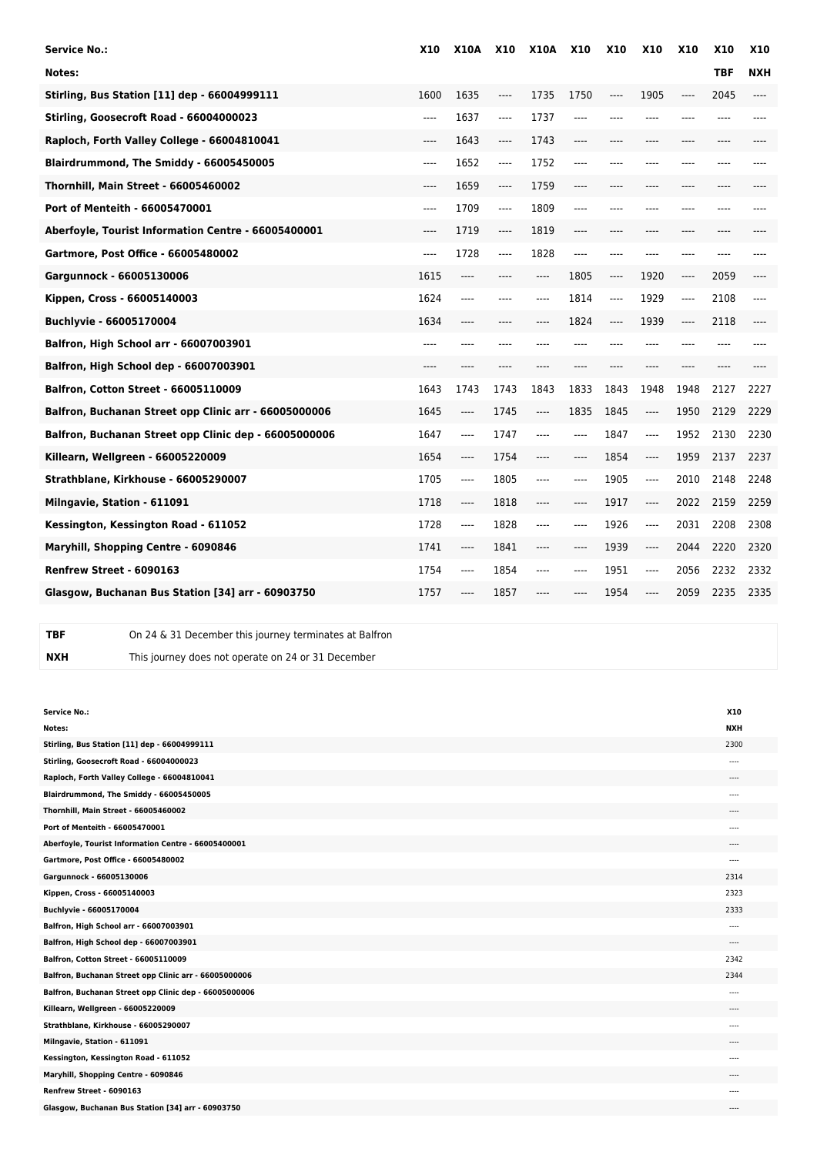| <b>Service No.:</b>                                   | <b>X10</b> | <b>X10A</b> | <b>X10</b> | <b>X10A</b> | <b>X10</b> | <b>X10</b> | <b>X10</b> | <b>X10</b> | <b>X10</b> | <b>X10</b> |
|-------------------------------------------------------|------------|-------------|------------|-------------|------------|------------|------------|------------|------------|------------|
| Notes:                                                |            |             |            |             |            |            |            |            | <b>TBF</b> | <b>NXH</b> |
| Stirling, Bus Station [11] dep - 66004999111          | 1600       | 1635        | ----       | 1735        | 1750       | ----       | 1905       | ----       | 2045       | ----       |
| Stirling, Goosecroft Road - 66004000023               | ----       | 1637        | ----       | 1737        | ----       | $---$      | $---$      | ----       | ----       |            |
| Raploch, Forth Valley College - 66004810041           | ----       | 1643        | ----       | 1743        | ----       | $---$      | $---$      | ----       | $---$      |            |
| Blairdrummond, The Smiddy - 66005450005               | ----       | 1652        | ----       | 1752        | ----       | $---$      | $---$      | ----       | ----       |            |
| Thornhill, Main Street - 66005460002                  | ----       | 1659        | ----       | 1759        | ----       | $---$      | $---$      | ----       | ----       |            |
| Port of Menteith - 66005470001                        | ----       | 1709        | ----       | 1809        | ----       |            | ----       |            |            |            |
| Aberfoyle, Tourist Information Centre - 66005400001   | ----       | 1719        | ----       | 1819        | ----       | $---$      | ----       | ----       | ----       |            |
| Gartmore, Post Office - 66005480002                   | ----       | 1728        | ----       | 1828        | ----       | ----       | ----       | ----       |            |            |
| Gargunnock - 66005130006                              | 1615       | ----        |            | ----        | 1805       | $---$      | 1920       | ----       | 2059       |            |
| Kippen, Cross - 66005140003                           | 1624       | ----        |            | ----        | 1814       | $---$      | 1929       | ----       | 2108       | ----       |
| Buchlyvie - 66005170004                               | 1634       | ----        | ----       | ----        | 1824       | $---$      | 1939       | ----       | 2118       |            |
| Balfron, High School arr - 66007003901                | $---$      |             |            |             |            | $---$      | ----       |            |            |            |
| Balfron, High School dep - 66007003901                | $---$      | ----        | ----       | ----        | ----       | $---$      | $---$      | ----       | $---$      |            |
| <b>Balfron, Cotton Street - 66005110009</b>           | 1643       | 1743        | 1743       | 1843        | 1833       | 1843       | 1948       | 1948       | 2127       | 2227       |
| Balfron, Buchanan Street opp Clinic arr - 66005000006 | 1645       | ----        | 1745       | ----        | 1835       | 1845       | ----       | 1950       | 2129       | 2229       |
| Balfron, Buchanan Street opp Clinic dep - 66005000006 | 1647       | ----        | 1747       |             |            | 1847       | $---$      | 1952       | 2130       | 2230       |
| Killearn, Wellgreen - 66005220009                     | 1654       | $-----$     | 1754       | ----        | ----       | 1854       | ----       | 1959       | 2137       | 2237       |
| Strathblane, Kirkhouse - 66005290007                  | 1705       | $---$       | 1805       | ----        | ----       | 1905       | $-----$    | 2010       | 2148       | 2248       |
| Milngavie, Station - 611091                           | 1718       | ----        | 1818       |             |            | 1917       | $-----$    | 2022       | 2159       | 2259       |
| Kessington, Kessington Road - 611052                  | 1728       | ----        | 1828       | ----        | ----       | 1926       | $---$      | 2031       | 2208       | 2308       |
| Maryhill, Shopping Centre - 6090846                   | 1741       | ----        | 1841       |             |            | 1939       | ----       | 2044       | 2220       | 2320       |
| Renfrew Street - 6090163                              | 1754       | ----        | 1854       | ----        | ----       | 1951       | $-----$    | 2056       | 2232       | 2332       |
| Glasgow, Buchanan Bus Station [34] arr - 60903750     | 1757       | ----        | 1857       | ----        |            | 1954       | ----       | 2059       | 2235       | 2335       |

**TBF** On 24 & 31 December this journey terminates at Balfron **NXH** This journey does not operate on 24 or 31 December

| <b>Service No.:</b>                                   | X10        |
|-------------------------------------------------------|------------|
| Notes:                                                | <b>NXH</b> |
| Stirling, Bus Station [11] dep - 66004999111          | 2300       |
| Stirling, Goosecroft Road - 66004000023               | $- - - -$  |
| Raploch, Forth Valley College - 66004810041           | $- - - -$  |
| Blairdrummond, The Smiddy - 66005450005               | ----       |
| Thornhill, Main Street - 66005460002                  | $\cdots$   |
| Port of Menteith - 66005470001                        | $---$      |
| Aberfoyle, Tourist Information Centre - 66005400001   | ----       |
| Gartmore, Post Office - 66005480002                   | $- - - -$  |
| Gargunnock - 66005130006                              | 2314       |
| Kippen, Cross - 66005140003                           | 2323       |
| Buchlyvie - 66005170004                               | 2333       |
| Balfron, High School arr - 66007003901                | $\cdots$   |
| Balfron, High School dep - 66007003901                | $---$      |
| Balfron, Cotton Street - 66005110009                  | 2342       |
| Balfron, Buchanan Street opp Clinic arr - 66005000006 | 2344       |
| Balfron, Buchanan Street opp Clinic dep - 66005000006 | $\cdots$   |
| Killearn, Wellgreen - 66005220009                     | ----       |
| Strathblane, Kirkhouse - 66005290007                  | $\sim$     |
| Milngavie, Station - 611091                           | $- - - -$  |
| Kessington, Kessington Road - 611052                  | ----       |
| Maryhill, Shopping Centre - 6090846                   | $- - - -$  |
| Renfrew Street - 6090163                              | $- - - -$  |
| Glasgow, Buchanan Bus Station [34] arr - 60903750     | $---$      |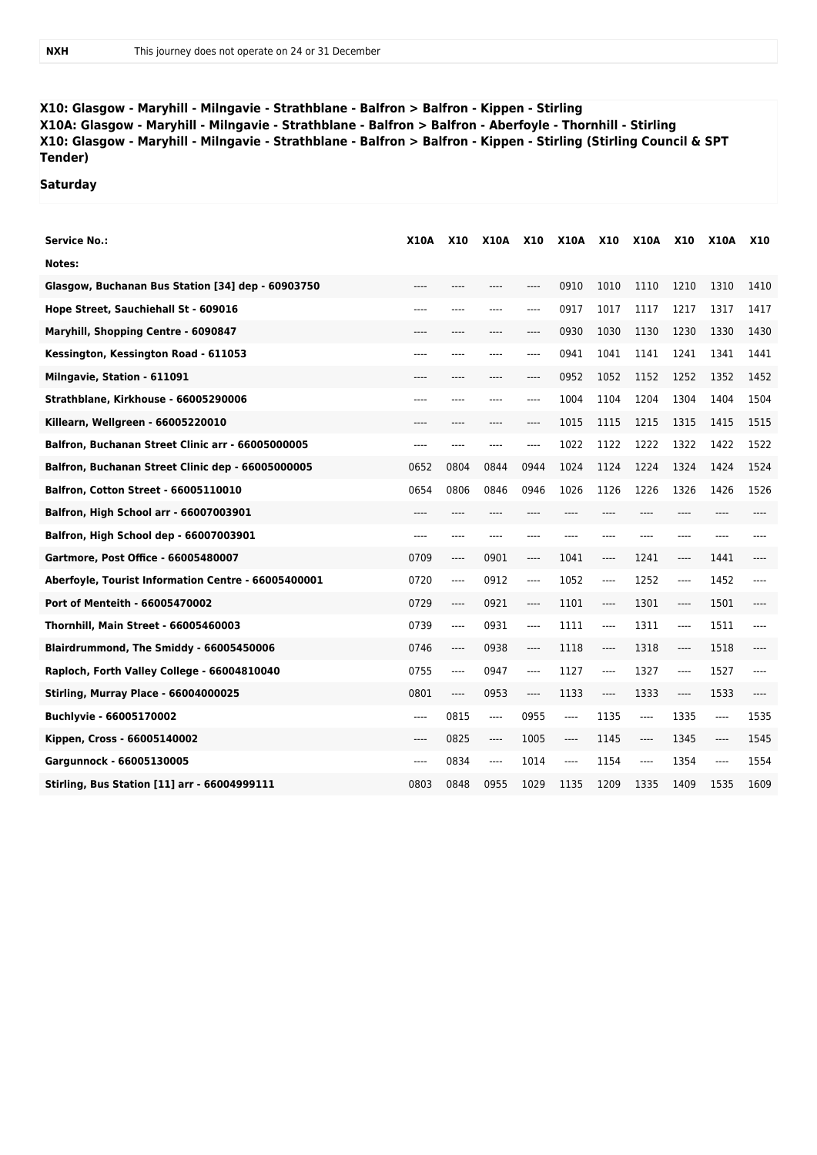**X10: Glasgow - Maryhill - Milngavie - Strathblane - Balfron > Balfron - Kippen - Stirling X10A: Glasgow - Maryhill - Milngavie - Strathblane - Balfron > Balfron - Aberfoyle - Thornhill - Stirling X10: Glasgow - Maryhill - Milngavie - Strathblane - Balfron > Balfron - Kippen - Stirling (Stirling Council & SPT Tender)**

**Saturday**

| Service No.:                                        | X10A  | <b>X10</b> | X10A  | <b>X10</b> | <b>X10A</b> | <b>X10</b> | <b>X10A</b> | <b>X10</b> | X10A | <b>X10</b> |
|-----------------------------------------------------|-------|------------|-------|------------|-------------|------------|-------------|------------|------|------------|
| Notes:                                              |       |            |       |            |             |            |             |            |      |            |
| Glasgow, Buchanan Bus Station [34] dep - 60903750   |       |            |       | ----       | 0910        | 1010       | 1110        | 1210       | 1310 | 1410       |
| Hope Street, Sauchiehall St - 609016                |       |            | ----  | ----       | 0917        | 1017       | 1117        | 1217       | 1317 | 1417       |
| Maryhill, Shopping Centre - 6090847                 |       |            |       | ----       | 0930        | 1030       | 1130        | 1230       | 1330 | 1430       |
| Kessington, Kessington Road - 611053                |       |            | ----  | ----       | 0941        | 1041       | 1141        | 1241       | 1341 | 1441       |
| Milngavie, Station - 611091                         |       |            | ----  | ----       | 0952        | 1052       | 1152        | 1252       | 1352 | 1452       |
| Strathblane, Kirkhouse - 66005290006                |       |            | ----  | ----       | 1004        | 1104       | 1204        | 1304       | 1404 | 1504       |
| Killearn, Wellgreen - 66005220010                   |       |            | ----  | ----       | 1015        | 1115       | 1215        | 1315       | 1415 | 1515       |
| Balfron, Buchanan Street Clinic arr - 66005000005   | ----  | ----       | ----  | ----       | 1022        | 1122       | 1222        | 1322       | 1422 | 1522       |
| Balfron, Buchanan Street Clinic dep - 66005000005   | 0652  | 0804       | 0844  | 0944       | 1024        | 1124       | 1224        | 1324       | 1424 | 1524       |
| <b>Balfron, Cotton Street - 66005110010</b>         | 0654  | 0806       | 0846  | 0946       | 1026        | 1126       | 1226        | 1326       | 1426 | 1526       |
| Balfron, High School arr - 66007003901              | ----  | ----       | ----  | ----       | ----        | ----       | ----        |            |      |            |
| Balfron, High School dep - 66007003901              | ----  | ----       | ----  | ----       | ----        | ----       | ----        | ----       | ---- |            |
| Gartmore, Post Office - 66005480007                 | 0709  | ----       | 0901  | $-----$    | 1041        | ----       | 1241        | ----       | 1441 | ----       |
| Aberfoyle, Tourist Information Centre - 66005400001 | 0720  | ----       | 0912  | $---$      | 1052        | ----       | 1252        | ----       | 1452 | $---$      |
| Port of Menteith - 66005470002                      | 0729  | ----       | 0921  | $\cdots$   | 1101        | ----       | 1301        | ----       | 1501 |            |
| Thornhill, Main Street - 66005460003                | 0739  | ----       | 0931  | $---$      | 1111        | ----       | 1311        | ----       | 1511 | $---$      |
| Blairdrummond, The Smiddy - 66005450006             | 0746  | ----       | 0938  | $\cdots$   | 1118        | ----       | 1318        | ----       | 1518 |            |
| Raploch, Forth Valley College - 66004810040         | 0755  | ----       | 0947  | $---$      | 1127        | ----       | 1327        | ----       | 1527 | $---$      |
| <b>Stirling, Murray Place - 66004000025</b>         | 0801  | ----       | 0953  | $\cdots$   | 1133        | ----       | 1333        | $\cdots$   | 1533 | $---$      |
| Buchlyvie - 66005170002                             | $---$ | 0815       | $---$ | 0955       | $\cdots$    | 1135       | $---$       | 1335       | ---- | 1535       |
| Kippen, Cross - 66005140002                         | $---$ | 0825       | $---$ | 1005       | ----        | 1145       | $---$       | 1345       | ---- | 1545       |
| Gargunnock - 66005130005                            | $---$ | 0834       | $---$ | 1014       | $---$       | 1154       | $---$       | 1354       | ---- | 1554       |
| Stirling, Bus Station [11] arr - 66004999111        | 0803  | 0848       | 0955  | 1029       | 1135        | 1209       | 1335        | 1409       | 1535 | 1609       |